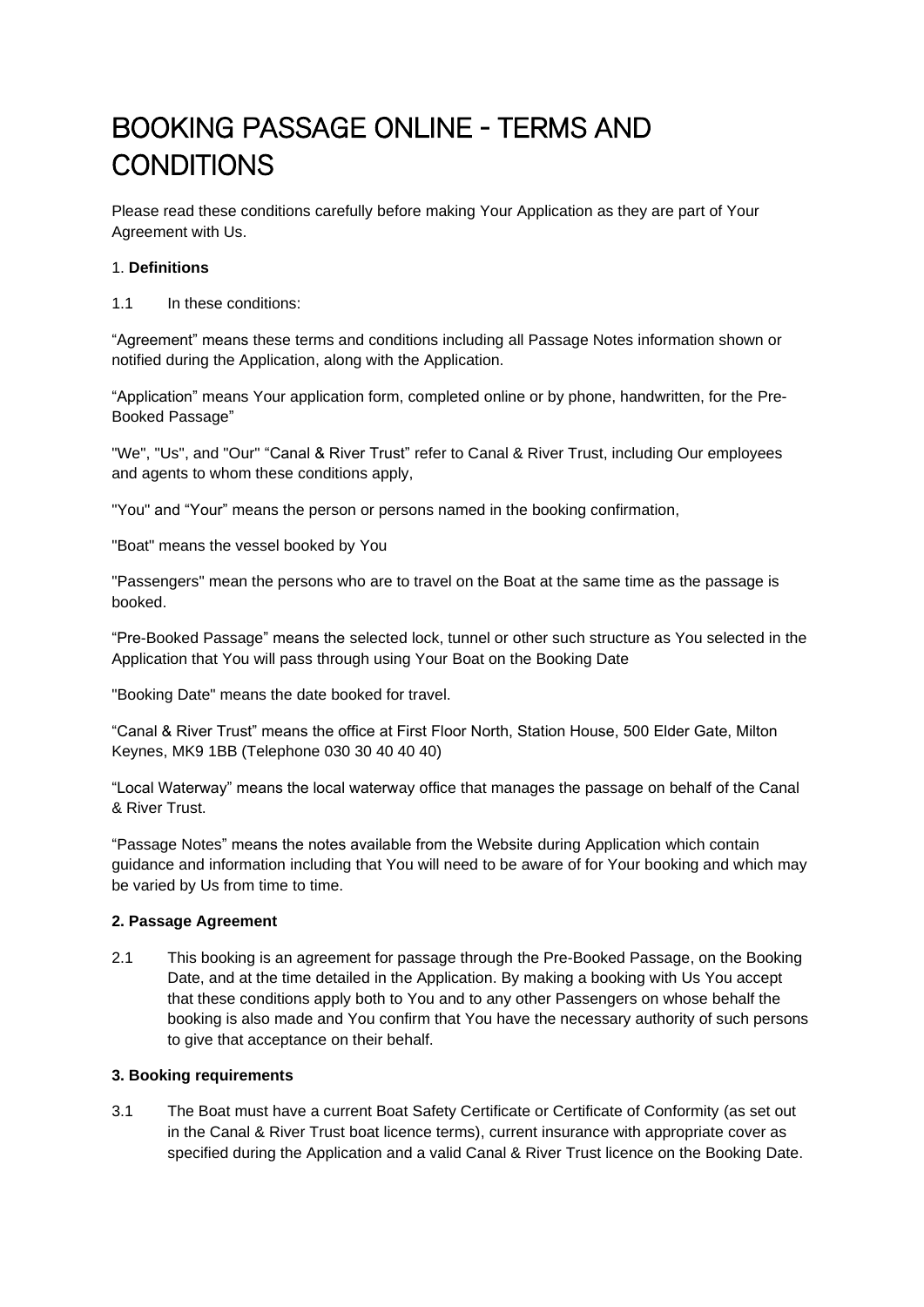# BOOKING PASSAGE ONLINE - TERMS AND **CONDITIONS**

Please read these conditions carefully before making Your Application as they are part of Your Agreement with Us.

# 1. **Definitions**

1.1 In these conditions:

"Agreement" means these terms and conditions including all Passage Notes information shown or notified during the Application, along with the Application.

"Application" means Your application form, completed online or by phone, handwritten, for the Pre-Booked Passage"

"We", "Us", and "Our" "Canal & River Trust" refer to Canal & River Trust, including Our employees and agents to whom these conditions apply,

"You" and "Your" means the person or persons named in the booking confirmation,

"Boat" means the vessel booked by You

"Passengers" mean the persons who are to travel on the Boat at the same time as the passage is booked.

"Pre-Booked Passage" means the selected lock, tunnel or other such structure as You selected in the Application that You will pass through using Your Boat on the Booking Date

"Booking Date" means the date booked for travel.

"Canal & River Trust" means the office at First Floor North, Station House, 500 Elder Gate, Milton Keynes, MK9 1BB (Telephone 030 30 40 40 40)

"Local Waterway" means the local waterway office that manages the passage on behalf of the Canal & River Trust.

"Passage Notes" means the notes available from the Website during Application which contain guidance and information including that You will need to be aware of for Your booking and which may be varied by Us from time to time.

#### **2. Passage Agreement**

2.1 This booking is an agreement for passage through the Pre-Booked Passage, on the Booking Date, and at the time detailed in the Application. By making a booking with Us You accept that these conditions apply both to You and to any other Passengers on whose behalf the booking is also made and You confirm that You have the necessary authority of such persons to give that acceptance on their behalf.

#### **3. Booking requirements**

3.1 The Boat must have a current Boat Safety Certificate or Certificate of Conformity (as set out in the Canal & River Trust boat licence terms), current insurance with appropriate cover as specified during the Application and a valid Canal & River Trust licence on the Booking Date.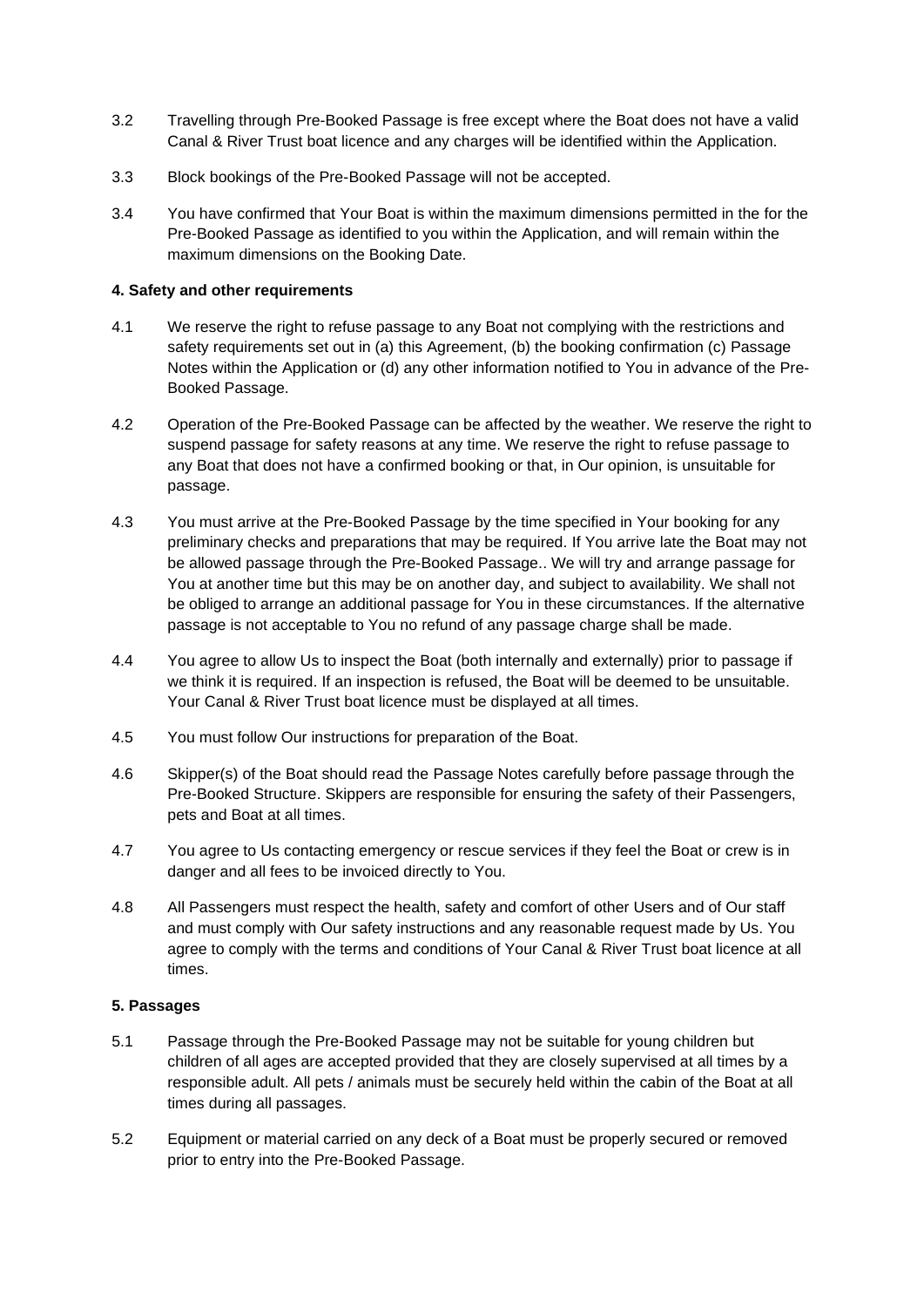- 3.2 Travelling through Pre-Booked Passage is free except where the Boat does not have a valid Canal & River Trust boat licence and any charges will be identified within the Application.
- 3.3 Block bookings of the Pre-Booked Passage will not be accepted.
- 3.4 You have confirmed that Your Boat is within the maximum dimensions permitted in the for the Pre-Booked Passage as identified to you within the Application, and will remain within the maximum dimensions on the Booking Date.

## **4. Safety and other requirements**

- 4.1 We reserve the right to refuse passage to any Boat not complying with the restrictions and safety requirements set out in (a) this Agreement, (b) the booking confirmation (c) Passage Notes within the Application or (d) any other information notified to You in advance of the Pre-Booked Passage.
- 4.2 Operation of the Pre-Booked Passage can be affected by the weather. We reserve the right to suspend passage for safety reasons at any time. We reserve the right to refuse passage to any Boat that does not have a confirmed booking or that, in Our opinion, is unsuitable for passage.
- 4.3 You must arrive at the Pre-Booked Passage by the time specified in Your booking for any preliminary checks and preparations that may be required. If You arrive late the Boat may not be allowed passage through the Pre-Booked Passage.. We will try and arrange passage for You at another time but this may be on another day, and subject to availability. We shall not be obliged to arrange an additional passage for You in these circumstances. If the alternative passage is not acceptable to You no refund of any passage charge shall be made.
- 4.4 You agree to allow Us to inspect the Boat (both internally and externally) prior to passage if we think it is required. If an inspection is refused, the Boat will be deemed to be unsuitable. Your Canal & River Trust boat licence must be displayed at all times.
- 4.5 You must follow Our instructions for preparation of the Boat.
- 4.6 Skipper(s) of the Boat should read the Passage Notes carefully before passage through the Pre-Booked Structure. Skippers are responsible for ensuring the safety of their Passengers, pets and Boat at all times.
- 4.7 You agree to Us contacting emergency or rescue services if they feel the Boat or crew is in danger and all fees to be invoiced directly to You.
- 4.8 All Passengers must respect the health, safety and comfort of other Users and of Our staff and must comply with Our safety instructions and any reasonable request made by Us. You agree to comply with the terms and conditions of Your Canal & River Trust boat licence at all times.

#### **5. Passages**

- 5.1 Passage through the Pre-Booked Passage may not be suitable for young children but children of all ages are accepted provided that they are closely supervised at all times by a responsible adult. All pets / animals must be securely held within the cabin of the Boat at all times during all passages.
- 5.2 Equipment or material carried on any deck of a Boat must be properly secured or removed prior to entry into the Pre-Booked Passage.